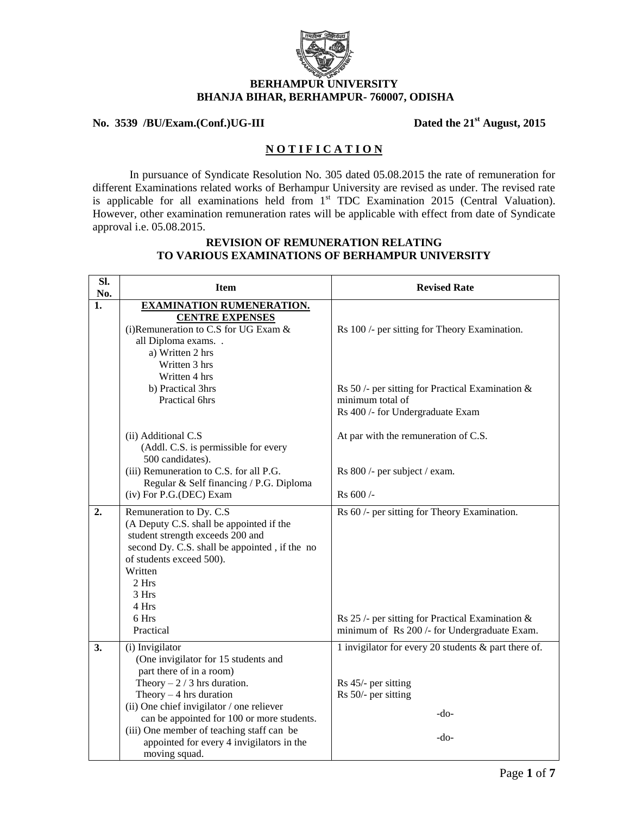

# **BERHAMPUR UNIVERSITY BHANJA BIHAR, BERHAMPUR- 760007, ODISHA**

#### **No. 3539 /BU/Exam.(Conf.)UG-III Dated the 21st August, 2015**

## **N O T I F I C A T I O N**

In pursuance of Syndicate Resolution No. 305 dated 05.08.2015 the rate of remuneration for different Examinations related works of Berhampur University are revised as under. The revised rate is applicable for all examinations held from 1<sup>st</sup> TDC Examination 2015 (Central Valuation). However, other examination remuneration rates will be applicable with effect from date of Syndicate approval i.e. 05.08.2015.

#### **REVISION OF REMUNERATION RELATING TO VARIOUS EXAMINATIONS OF BERHAMPUR UNIVERSITY**

| SI.<br>No. | <b>Item</b>                                                                                                                                                                                                                                                                                                                         | <b>Revised Rate</b>                                                                                                                                          |
|------------|-------------------------------------------------------------------------------------------------------------------------------------------------------------------------------------------------------------------------------------------------------------------------------------------------------------------------------------|--------------------------------------------------------------------------------------------------------------------------------------------------------------|
| 1.         | <b>EXAMINATION RUMENERATION.</b><br><b>CENTRE EXPENSES</b><br>(i) Remuneration to C.S for UG Exam &<br>all Diploma exams<br>a) Written 2 hrs<br>Written 3 hrs<br>Written 4 hrs<br>b) Practical 3hrs<br><b>Practical 6hrs</b>                                                                                                        | Rs 100 /- per sitting for Theory Examination.<br>Rs 50 /- per sitting for Practical Examination $\&$<br>minimum total of<br>Rs 400 /- for Undergraduate Exam |
|            | (ii) Additional C.S<br>(Addl. C.S. is permissible for every<br>500 candidates).<br>(iii) Remuneration to C.S. for all P.G.<br>Regular & Self financing / P.G. Diploma<br>(iv) For P.G.(DEC) Exam                                                                                                                                    | At par with the remuneration of C.S.<br>Rs 800 /- per subject / exam.<br>Rs 600 /-                                                                           |
| 2.         | Remuneration to Dy. C.S.<br>(A Deputy C.S. shall be appointed if the<br>student strength exceeds 200 and<br>second Dy. C.S. shall be appointed, if the no<br>of students exceed 500).<br>Written<br>2 Hrs<br>3 Hrs<br>4 Hrs                                                                                                         | Rs 60 /- per sitting for Theory Examination.                                                                                                                 |
|            | 6 Hrs<br>Practical                                                                                                                                                                                                                                                                                                                  | Rs 25 /- per sitting for Practical Examination $\&$<br>minimum of Rs 200 /- for Undergraduate Exam.                                                          |
| 3.         | (i) Invigilator<br>(One invigilator for 15 students and<br>part there of in a room)<br>Theory $-2/3$ hrs duration.<br>Theory $-4$ hrs duration<br>(ii) One chief invigilator / one reliever<br>can be appointed for 100 or more students.<br>(iii) One member of teaching staff can be<br>appointed for every 4 invigilators in the | 1 invigilator for every 20 students & part there of.<br>Rs 45/- per sitting<br>Rs 50/- per sitting<br>$-do-$<br>$-do-$                                       |
|            | moving squad.                                                                                                                                                                                                                                                                                                                       |                                                                                                                                                              |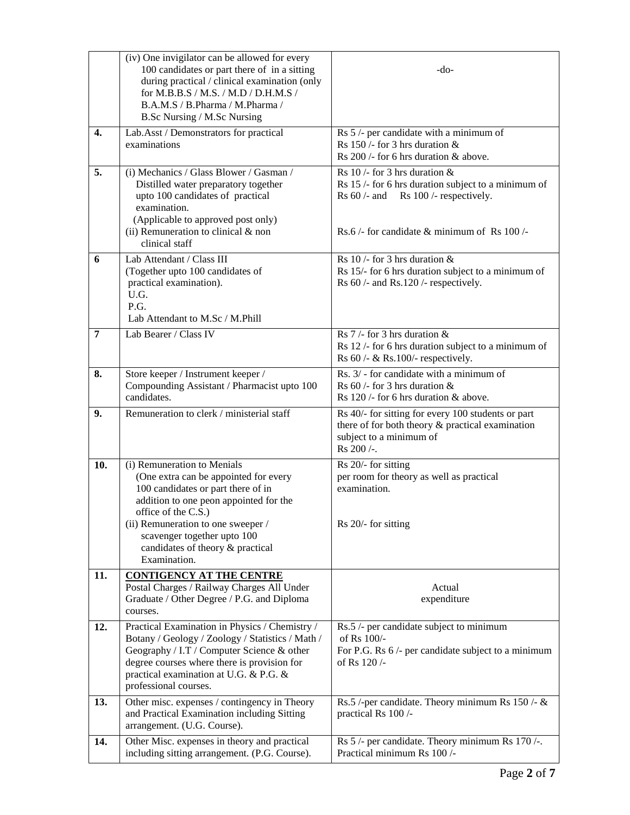|                | (iv) One invigilator can be allowed for every<br>100 candidates or part there of in a sitting<br>during practical / clinical examination (only<br>for M.B.B.S / M.S. / M.D / D.H.M.S /<br>B.A.M.S / B.Pharma / M.Pharma /<br>B.Sc Nursing / M.Sc Nursing                                             | -do-                                                                                                                                                                                   |
|----------------|------------------------------------------------------------------------------------------------------------------------------------------------------------------------------------------------------------------------------------------------------------------------------------------------------|----------------------------------------------------------------------------------------------------------------------------------------------------------------------------------------|
| 4.             | Lab.Asst / Demonstrators for practical<br>examinations                                                                                                                                                                                                                                               | Rs 5 /- per candidate with a minimum of<br>Rs 150 /- for 3 hrs duration $\&$<br>Rs $200$ /- for 6 hrs duration & above.                                                                |
| 5.             | (i) Mechanics / Glass Blower / Gasman /<br>Distilled water preparatory together<br>upto 100 candidates of practical<br>examination.<br>(Applicable to approved post only)<br>(ii) Remuneration to clinical $&$ non<br>clinical staff                                                                 | Rs 10 /- for 3 hrs duration $\&$<br>Rs 15 /- for 6 hrs duration subject to a minimum of<br>Rs $60$ /- and Rs $100$ /- respectively.<br>Rs.6 /- for candidate $\&$ minimum of Rs 100 /- |
| 6              | Lab Attendant / Class III<br>(Together upto 100 candidates of<br>practical examination).<br>U.G.<br>P.G.<br>Lab Attendant to M.Sc / M.Phill                                                                                                                                                          | Rs 10 /- for 3 hrs duration $\&$<br>Rs 15/- for 6 hrs duration subject to a minimum of<br>Rs $60$ /- and Rs.120 /- respectively.                                                       |
| $\overline{7}$ | Lab Bearer / Class IV                                                                                                                                                                                                                                                                                | Rs 7 /- for 3 hrs duration $\&$<br>Rs 12 /- for 6 hrs duration subject to a minimum of<br>Rs $60$ /- $\&$ Rs.100/- respectively.                                                       |
| 8.             | Store keeper / Instrument keeper /<br>Compounding Assistant / Pharmacist upto 100<br>candidates.                                                                                                                                                                                                     | Rs. 3/ - for candidate with a minimum of<br>Rs $60$ /- for 3 hrs duration &<br>Rs $120$ /- for 6 hrs duration & above.                                                                 |
| 9.             | Remuneration to clerk / ministerial staff                                                                                                                                                                                                                                                            | Rs 40/- for sitting for every 100 students or part<br>there of for both theory $\&$ practical examination<br>subject to a minimum of<br>Rs 200 /-.                                     |
| 10.            | (i) Remuneration to Menials<br>(One extra can be appointed for every<br>100 candidates or part there of in<br>addition to one peon appointed for the<br>office of the C.S.)<br>(ii) Remuneration to one sweeper /<br>scavenger together upto 100<br>candidates of theory & practical<br>Examination. | Rs 20/- for sitting<br>per room for theory as well as practical<br>examination.<br>Rs 20/- for sitting                                                                                 |
| 11.            | <b>CONTIGENCY AT THE CENTRE</b><br>Postal Charges / Railway Charges All Under<br>Graduate / Other Degree / P.G. and Diploma<br>courses.                                                                                                                                                              | Actual<br>expenditure                                                                                                                                                                  |
| 12.            | Practical Examination in Physics / Chemistry /<br>Botany / Geology / Zoology / Statistics / Math /<br>Geography / I.T / Computer Science & other<br>degree courses where there is provision for<br>practical examination at U.G. & P.G. &<br>professional courses.                                   | Rs.5 /- per candidate subject to minimum<br>of Rs 100/-<br>For P.G. Rs $6$ /- per candidate subject to a minimum<br>of Rs 120/-                                                        |
| 13.            | Other misc. expenses / contingency in Theory<br>and Practical Examination including Sitting<br>arrangement. (U.G. Course).                                                                                                                                                                           | Rs.5 /-per candidate. Theory minimum Rs 150 /- $\&$<br>practical Rs 100 /-                                                                                                             |
| 14.            | Other Misc. expenses in theory and practical<br>including sitting arrangement. (P.G. Course).                                                                                                                                                                                                        | Rs 5 /- per candidate. Theory minimum Rs 170 /-.<br>Practical minimum Rs 100 /-                                                                                                        |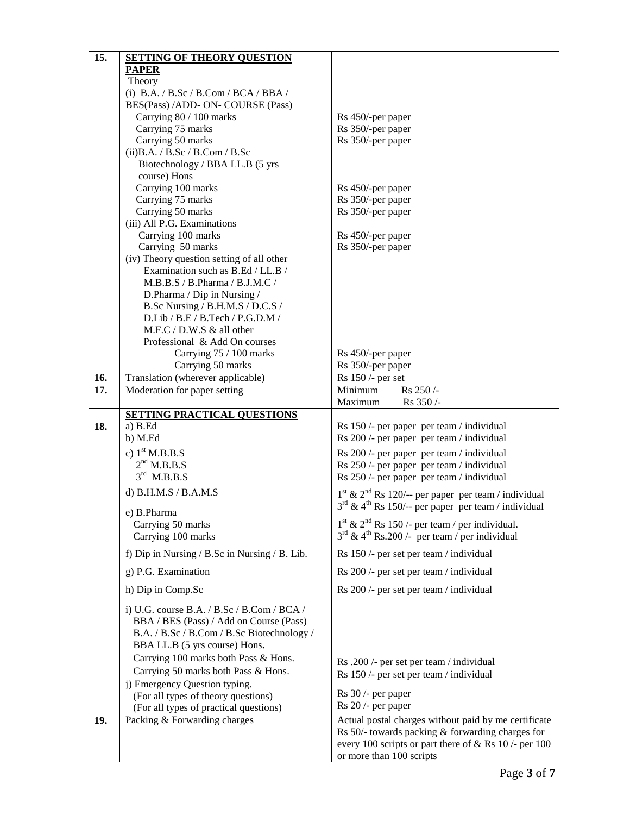| 15. | <b>SETTING OF THEORY QUESTION</b>                                                                                                                                    |                                                                                        |
|-----|----------------------------------------------------------------------------------------------------------------------------------------------------------------------|----------------------------------------------------------------------------------------|
|     | <b>PAPER</b>                                                                                                                                                         |                                                                                        |
|     | Theory                                                                                                                                                               |                                                                                        |
|     | (i) B.A. / B.Sc / B.Com / BCA / BBA /                                                                                                                                |                                                                                        |
|     | BES(Pass) /ADD- ON- COURSE (Pass)                                                                                                                                    |                                                                                        |
|     | Carrying 80 / 100 marks                                                                                                                                              | Rs 450/-per paper                                                                      |
|     | Carrying 75 marks                                                                                                                                                    | Rs 350/-per paper                                                                      |
|     | Carrying 50 marks                                                                                                                                                    | Rs 350/-per paper                                                                      |
|     | $(ii)$ B.A. / B.Sc / B.Com / B.Sc                                                                                                                                    |                                                                                        |
|     | Biotechnology / BBA LL.B (5 yrs                                                                                                                                      |                                                                                        |
|     | course) Hons                                                                                                                                                         |                                                                                        |
|     | Carrying 100 marks                                                                                                                                                   | Rs 450/-per paper                                                                      |
|     | Carrying 75 marks                                                                                                                                                    | Rs 350/-per paper                                                                      |
|     | Carrying 50 marks                                                                                                                                                    | Rs 350/-per paper                                                                      |
|     | (iii) All P.G. Examinations                                                                                                                                          |                                                                                        |
|     | Carrying 100 marks                                                                                                                                                   | Rs 450/-per paper                                                                      |
|     | Carrying 50 marks                                                                                                                                                    | Rs 350/-per paper                                                                      |
|     | (iv) Theory question setting of all other                                                                                                                            |                                                                                        |
|     | Examination such as B.Ed / LL.B /                                                                                                                                    |                                                                                        |
|     | M.B.B.S / B.Pharma / B.J.M.C /                                                                                                                                       |                                                                                        |
|     | D.Pharma / Dip in Nursing /                                                                                                                                          |                                                                                        |
|     | B.Sc Nursing / B.H.M.S / D.C.S /                                                                                                                                     |                                                                                        |
|     | D.Lib / B.E / B.Tech / P.G.D.M /                                                                                                                                     |                                                                                        |
|     |                                                                                                                                                                      |                                                                                        |
|     | M.F.C / D.W.S & all other                                                                                                                                            |                                                                                        |
|     | Professional & Add On courses                                                                                                                                        |                                                                                        |
|     | Carrying 75 / 100 marks                                                                                                                                              | Rs 450/-per paper                                                                      |
|     | Carrying 50 marks                                                                                                                                                    | Rs 350/-per paper                                                                      |
| 16. | Translation (wherever applicable)                                                                                                                                    | $Rs$ 150 /- per set                                                                    |
| 17. | Moderation for paper setting                                                                                                                                         | Rs 250 /-<br>$Minimum -$<br>Maximum-<br>Rs 350/-                                       |
|     |                                                                                                                                                                      |                                                                                        |
| 18. | <b>SETTING PRACTICAL QUESTIONS</b><br>a) B.Ed                                                                                                                        |                                                                                        |
|     | b) M.Ed                                                                                                                                                              | Rs 150 /- per paper per team / individual<br>Rs 200 /- per paper per team / individual |
|     |                                                                                                                                                                      |                                                                                        |
|     | c) $1st M.B.B.S$                                                                                                                                                     | Rs 200 /- per paper per team / individual                                              |
|     | $2nd$ M.B.B.S                                                                                                                                                        | Rs 250 /- per paper per team / individual                                              |
|     | $3rd$ M.B.B.S                                                                                                                                                        | Rs 250 /- per paper per team / individual                                              |
|     | d) B.H.M.S / B.A.M.S                                                                                                                                                 | $1st$ & $2nd$ Rs 120/-- per paper per team / individual                                |
|     |                                                                                                                                                                      | $3^{rd}$ & 4 <sup>th</sup> Rs 150/-- per paper per team / individual                   |
|     | e) B.Pharma                                                                                                                                                          |                                                                                        |
|     | Carrying 50 marks                                                                                                                                                    | $1st$ & $2nd$ Rs 150 /- per team / per individual.                                     |
|     | Carrying 100 marks                                                                                                                                                   | $3rd$ & 4 <sup>th</sup> Rs.200 /- per team / per individual                            |
|     | f) Dip in Nursing / B.Sc in Nursing / B. Lib.                                                                                                                        | Rs 150 /- per set per team / individual                                                |
|     | g) P.G. Examination                                                                                                                                                  | Rs 200 /- per set per team / individual                                                |
|     | h) Dip in Comp.Sc                                                                                                                                                    | Rs 200 /- per set per team / individual                                                |
|     | i) U.G. course B.A. / B.Sc / B.Com / BCA /<br>BBA / BES (Pass) / Add on Course (Pass)<br>B.A. / B.Sc / B.Com / B.Sc Biotechnology /<br>BBA LL.B (5 yrs course) Hons. |                                                                                        |
|     | Carrying 100 marks both Pass & Hons.                                                                                                                                 | Rs .200 /- per set per team / individual                                               |
|     | Carrying 50 marks both Pass & Hons.                                                                                                                                  |                                                                                        |
|     | j) Emergency Question typing.                                                                                                                                        | Rs 150 /- per set per team / individual                                                |
|     | (For all types of theory questions)                                                                                                                                  | $Rs 30$ /- per paper                                                                   |
|     | (For all types of practical questions)                                                                                                                               | Rs 20 /- per paper                                                                     |
| 19. | Packing & Forwarding charges                                                                                                                                         | Actual postal charges without paid by me certificate                                   |
|     |                                                                                                                                                                      | Rs 50/- towards packing & forwarding charges for                                       |
|     |                                                                                                                                                                      | every 100 scripts or part there of $&$ Rs 10 /- per 100                                |
|     |                                                                                                                                                                      | or more than 100 scripts                                                               |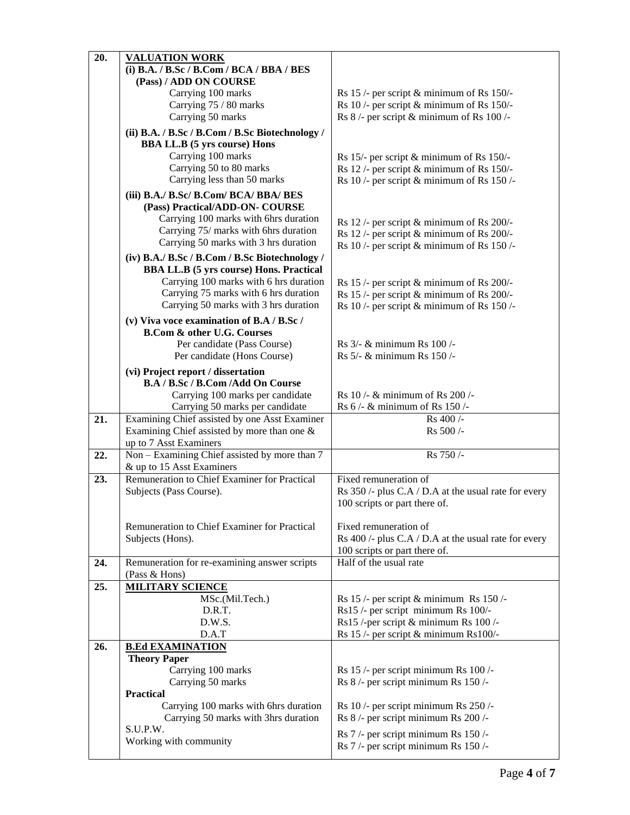| 20. | <b>VALUATION WORK</b>                           |                                                      |
|-----|-------------------------------------------------|------------------------------------------------------|
|     | (i) B.A. / B.Sc / B.Com / BCA / BBA / BES       |                                                      |
|     | (Pass) / ADD ON COURSE                          |                                                      |
|     | Carrying 100 marks                              | Rs $15$ /- per script & minimum of Rs $150/$ -       |
|     | Carrying 75 / 80 marks                          | Rs 10 /- per script & minimum of Rs 150/-            |
|     | Carrying 50 marks                               | Rs $8/-$ per script & minimum of Rs $100/-$          |
|     |                                                 |                                                      |
|     | (ii) B.A. / B.Sc / B.Com / B.Sc Biotechnology / |                                                      |
|     | <b>BBA LL.B</b> (5 yrs course) Hons             |                                                      |
|     | Carrying 100 marks                              | Rs 15/- per script & minimum of Rs 150/-             |
|     | Carrying 50 to 80 marks                         | Rs 12 /- per script & minimum of Rs 150/-            |
|     | Carrying less than 50 marks                     | Rs 10 /- per script & minimum of Rs 150 /-           |
|     | (iii) B.A./ B.Sc/ B.Com/ BCA/ BBA/ BES          |                                                      |
|     | (Pass) Practical/ADD-ON- COURSE                 |                                                      |
|     | Carrying 100 marks with 6hrs duration           | Rs $12$ /- per script & minimum of Rs 200/-          |
|     | Carrying 75/ marks with 6hrs duration           | Rs 12 /- per script & minimum of Rs 200/-            |
|     | Carrying 50 marks with 3 hrs duration           | Rs 10 /- per script & minimum of Rs 150 /-           |
|     | (iv) B.A./ B.Sc / B.Com / B.Sc Biotechnology /  |                                                      |
|     | <b>BBA LL.B</b> (5 yrs course) Hons. Practical  |                                                      |
|     | Carrying 100 marks with 6 hrs duration          | Rs $15$ /- per script & minimum of Rs 200/-          |
|     | Carrying 75 marks with 6 hrs duration           | Rs 15 /- per script & minimum of Rs 200/-            |
|     | Carrying 50 marks with 3 hrs duration           | Rs 10 /- per script & minimum of Rs 150 /-           |
|     |                                                 |                                                      |
|     | (v) Viva voce examination of B.A / B.Sc /       |                                                      |
|     | <b>B.Com &amp; other U.G. Courses</b>           |                                                      |
|     | Per candidate (Pass Course)                     | Rs 3/- & minimum Rs 100 /-                           |
|     | Per candidate (Hons Course)                     | Rs 5/- & minimum Rs 150/-                            |
|     | (vi) Project report / dissertation              |                                                      |
|     | B.A / B.Sc / B.Com / Add On Course              |                                                      |
|     | Carrying 100 marks per candidate                | Rs 10 /- & minimum of Rs 200 /-                      |
|     | Carrying 50 marks per candidate                 | Rs 6 /- & minimum of Rs 150 /-                       |
| 21. | Examining Chief assisted by one Asst Examiner   | Rs 400 /-                                            |
|     | Examining Chief assisted by more than one $\&$  |                                                      |
|     |                                                 | Rs 500/-                                             |
|     | up to 7 Asst Examiners                          |                                                      |
| 22. | Non - Examining Chief assisted by more than 7   | Rs 750/-                                             |
|     | & up to 15 Asst Examiners                       |                                                      |
| 23. | Remuneration to Chief Examiner for Practical    | Fixed remuneration of                                |
|     | Subjects (Pass Course).                         | Rs 350 /- plus C.A / D.A at the usual rate for every |
|     |                                                 | 100 scripts or part there of.                        |
|     |                                                 |                                                      |
|     | Remuneration to Chief Examiner for Practical    | Fixed remuneration of                                |
|     | Subjects (Hons).                                | Rs 400 /- plus C.A / D.A at the usual rate for every |
|     |                                                 | 100 scripts or part there of.                        |
| 24. | Remuneration for re-examining answer scripts    | Half of the usual rate                               |
|     | (Pass & Hons)                                   |                                                      |
| 25. | <b>MILITARY SCIENCE</b>                         |                                                      |
|     | MSc.(Mil.Tech.)                                 | Rs $15$ /- per script & minimum Rs $150$ /-          |
|     | D.R.T.                                          | Rs15 /- per script minimum Rs 100/-                  |
|     | D.W.S.                                          | Rs15 /-per script & minimum Rs 100 /-                |
|     | D.A.T                                           | Rs 15 /- per script $\&$ minimum Rs100/-             |
| 26. | <b>B.Ed EXAMINATION</b>                         |                                                      |
|     | <b>Theory Paper</b>                             |                                                      |
|     | Carrying 100 marks                              | Rs 15 /- per script minimum Rs 100 /-                |
|     | Carrying 50 marks                               | Rs 8 /- per script minimum Rs 150 /-                 |
|     | <b>Practical</b>                                |                                                      |
|     | Carrying 100 marks with 6hrs duration           | Rs 10 /- per script minimum Rs 250 /-                |
|     | Carrying 50 marks with 3hrs duration            | Rs 8 /- per script minimum Rs 200 /-                 |
|     | S.U.P.W.                                        | Rs 7/- per script minimum Rs 150/-                   |
|     | Working with community                          | Rs 7/- per script minimum Rs 150/-                   |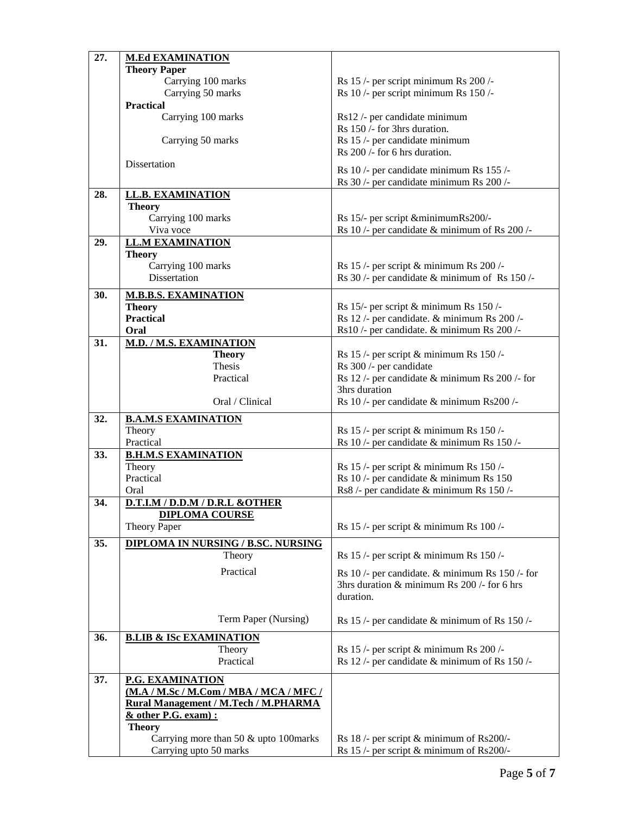| 27. | <b>M.Ed EXAMINATION</b>                   |                                                                                      |
|-----|-------------------------------------------|--------------------------------------------------------------------------------------|
|     | <b>Theory Paper</b>                       |                                                                                      |
|     | Carrying 100 marks                        | Rs 15 /- per script minimum Rs 200 /-                                                |
|     | Carrying 50 marks                         | Rs 10 /- per script minimum Rs 150 /-                                                |
|     | <b>Practical</b>                          |                                                                                      |
|     | Carrying 100 marks                        | Rs12 /- per candidate minimum                                                        |
|     |                                           | Rs 150 /- for 3hrs duration.                                                         |
|     | Carrying 50 marks                         | Rs 15 /- per candidate minimum                                                       |
|     |                                           | Rs 200 /- for 6 hrs duration.                                                        |
|     | Dissertation                              |                                                                                      |
|     |                                           | Rs 10 /- per candidate minimum Rs 155 /-<br>Rs 30 /- per candidate minimum Rs 200 /- |
| 28. | <b>LL.B. EXAMINATION</b>                  |                                                                                      |
|     | <b>Theory</b>                             |                                                                                      |
|     | Carrying 100 marks                        | Rs 15/- per script & minimum Rs200/-                                                 |
|     | Viva voce                                 | Rs 10 /- per candidate & minimum of Rs 200 /-                                        |
| 29. | <b>LL.M EXAMINATION</b>                   |                                                                                      |
|     | <b>Theory</b>                             |                                                                                      |
|     | Carrying 100 marks                        | Rs 15 /- per script & minimum Rs 200 /-                                              |
|     | Dissertation                              | Rs 30 /- per candidate & minimum of Rs 150 /-                                        |
|     |                                           |                                                                                      |
| 30. | <b>M.B.B.S. EXAMINATION</b>               |                                                                                      |
|     | <b>Theory</b>                             | Rs 15/- per script & minimum Rs 150/-                                                |
|     | <b>Practical</b>                          | Rs 12 /- per candidate. & minimum Rs 200 /-                                          |
|     | Oral                                      | Rs10 /- per candidate. & minimum Rs 200 /-                                           |
| 31. | <b>M.D. / M.S. EXAMINATION</b>            | Rs $15$ /- per script & minimum Rs $150$ /-                                          |
|     | <b>Theory</b><br>Thesis                   | Rs 300 /- per candidate                                                              |
|     | Practical                                 | Rs 12 /- per candidate $\&$ minimum Rs 200 /- for                                    |
|     |                                           | 3hrs duration                                                                        |
|     | Oral / Clinical                           | Rs 10 /- per candidate & minimum Rs200 /-                                            |
|     |                                           |                                                                                      |
| 32. | <b>B.A.M.S EXAMINATION</b>                |                                                                                      |
|     | Theory<br>Practical                       | Rs 15 /- per script & minimum Rs 150 /-                                              |
| 33. | <b>B.H.M.S EXAMINATION</b>                | Rs 10 /- per candidate & minimum Rs 150 /-                                           |
|     | Theory                                    | Rs $15$ /- per script & minimum Rs $150$ /-                                          |
|     | Practical                                 | Rs 10 /- per candidate & minimum Rs 150                                              |
|     | Oral                                      | Rs8 /- per candidate & minimum Rs 150 /-                                             |
| 34. | D.T.I.M / D.D.M / D.R.L &OTHER            |                                                                                      |
|     | <u>DIPLOMA COURSE</u>                     |                                                                                      |
|     | <b>Theory Paper</b>                       | Rs 15 /- per script & minimum Rs 100 /-                                              |
| 35. | <b>DIPLOMA IN NURSING / B.SC. NURSING</b> |                                                                                      |
|     | Theory                                    | Rs $15$ /- per script & minimum Rs $150$ /-                                          |
|     |                                           |                                                                                      |
|     | Practical                                 | Rs 10 /- per candidate. & minimum Rs 150 /- for                                      |
|     |                                           | 3hrs duration & minimum Rs $200$ /- for 6 hrs                                        |
|     |                                           | duration.                                                                            |
|     | Term Paper (Nursing)                      |                                                                                      |
|     |                                           | Rs 15 /- per candidate & minimum of Rs 150 /-                                        |
| 36. | <b>B.LIB &amp; ISC EXAMINATION</b>        |                                                                                      |
|     | Theory                                    | Rs 15 /- per script & minimum Rs 200 /-                                              |
|     | Practical                                 | Rs 12 /- per candidate & minimum of Rs 150 /-                                        |
| 37. | P.G. EXAMINATION                          |                                                                                      |
|     | (M.A / M.Sc / M.Com / MBA / MCA / MFC /   |                                                                                      |
|     | Rural Management / M.Tech / M.PHARMA      |                                                                                      |
|     | & other P.G. exam) :                      |                                                                                      |
|     | <b>Theory</b>                             |                                                                                      |
|     | Carrying more than 50 & upto 100marks     | Rs $18$ /- per script & minimum of Rs200/-                                           |
|     | Carrying upto 50 marks                    | Rs 15 /- per script & minimum of Rs200/-                                             |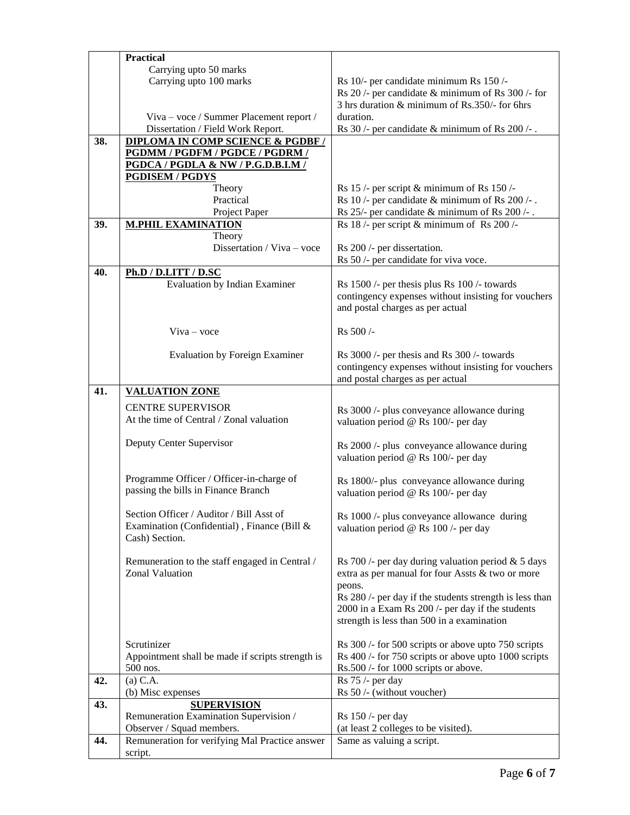|     | <b>Practical</b>                                 |                                                                                   |
|-----|--------------------------------------------------|-----------------------------------------------------------------------------------|
|     | Carrying upto 50 marks                           |                                                                                   |
|     | Carrying upto 100 marks                          | Rs 10/- per candidate minimum Rs 150/-                                            |
|     |                                                  | Rs $20$ /- per candidate & minimum of Rs $300$ /- for                             |
|     |                                                  | 3 hrs duration & minimum of Rs.350/- for 6hrs                                     |
|     | Viva - voce / Summer Placement report /          | duration.                                                                         |
|     | Dissertation / Field Work Report.                | Rs 30 /- per candidate $\&$ minimum of Rs 200 /-.                                 |
| 38. | <b>DIPLOMA IN COMP SCIENCE &amp; PGDBF /</b>     |                                                                                   |
|     | PGDMM / PGDFM / PGDCE / PGDRM /                  |                                                                                   |
|     | PGDCA / PGDLA & NW / P.G.D.B.I.M /               |                                                                                   |
|     | <b>PGDISEM / PGDYS</b>                           |                                                                                   |
|     | Theory                                           | Rs $15$ /- per script & minimum of Rs $150$ /-                                    |
|     | Practical                                        | Rs 10 /- per candidate $\&$ minimum of Rs 200 /-.                                 |
|     | Project Paper                                    | Rs 25/- per candidate & minimum of Rs 200 /-.                                     |
| 39. | <b>M.PHIL EXAMINATION</b>                        | Rs 18 /- per script & minimum of Rs 200 /-                                        |
|     | Theory                                           |                                                                                   |
|     | Dissertation / Viva - voce                       | Rs 200 /- per dissertation.                                                       |
|     |                                                  | Rs 50 /- per candidate for viva voce.                                             |
| 40. | Ph.D / D.LITT / D.SC                             |                                                                                   |
|     | <b>Evaluation by Indian Examiner</b>             | Rs 1500 /- per thesis plus Rs 100 /- towards                                      |
|     |                                                  | contingency expenses without insisting for vouchers                               |
|     |                                                  | and postal charges as per actual                                                  |
|     |                                                  |                                                                                   |
|     | $V$ iva – voce                                   | Rs 500/-                                                                          |
|     |                                                  |                                                                                   |
|     | <b>Evaluation by Foreign Examiner</b>            | Rs 3000 /- per thesis and Rs 300 /- towards                                       |
|     |                                                  | contingency expenses without insisting for vouchers                               |
|     |                                                  | and postal charges as per actual                                                  |
| 41. | <b>VALUATION ZONE</b>                            |                                                                                   |
|     | <b>CENTRE SUPERVISOR</b>                         |                                                                                   |
|     | At the time of Central / Zonal valuation         | Rs 3000 /- plus conveyance allowance during                                       |
|     |                                                  | valuation period @ Rs 100/- per day                                               |
|     | Deputy Center Supervisor                         |                                                                                   |
|     |                                                  | Rs 2000 /- plus conveyance allowance during                                       |
|     |                                                  | valuation period @ Rs 100/- per day                                               |
|     | Programme Officer / Officer-in-charge of         |                                                                                   |
|     | passing the bills in Finance Branch              | Rs 1800/- plus conveyance allowance during<br>valuation period @ Rs 100/- per day |
|     |                                                  |                                                                                   |
|     | Section Officer / Auditor / Bill Asst of         | Rs 1000 /- plus conveyance allowance during                                       |
|     | Examination (Confidential), Finance (Bill &      | valuation period @ Rs $100$ /- per day                                            |
|     | Cash) Section.                                   |                                                                                   |
|     |                                                  |                                                                                   |
|     | Remuneration to the staff engaged in Central /   | Rs 700 /- per day during valuation period $& 5$ days                              |
|     | Zonal Valuation                                  | extra as per manual for four Assts & two or more                                  |
|     |                                                  | peons.                                                                            |
|     |                                                  | Rs 280 /- per day if the students strength is less than                           |
|     |                                                  | 2000 in a Exam Rs 200 /- per day if the students                                  |
|     |                                                  | strength is less than 500 in a examination                                        |
|     |                                                  |                                                                                   |
|     | Scrutinizer                                      | Rs 300 /- for 500 scripts or above upto 750 scripts                               |
|     | Appointment shall be made if scripts strength is | Rs 400 /- for 750 scripts or above upto 1000 scripts                              |
|     | 500 nos.                                         | Rs.500 /- for 1000 scripts or above.                                              |
| 42. | $(a)$ C.A.                                       | Rs 75 /- per day                                                                  |
|     | (b) Misc expenses                                | Rs 50 /- (without voucher)                                                        |
| 43. | <b>SUPERVISION</b>                               |                                                                                   |
|     | Remuneration Examination Supervision /           | Rs 150 /- per day                                                                 |
|     | Observer / Squad members.                        | (at least 2 colleges to be visited).                                              |
| 44. | Remuneration for verifying Mal Practice answer   | Same as valuing a script.                                                         |
|     | script.                                          |                                                                                   |